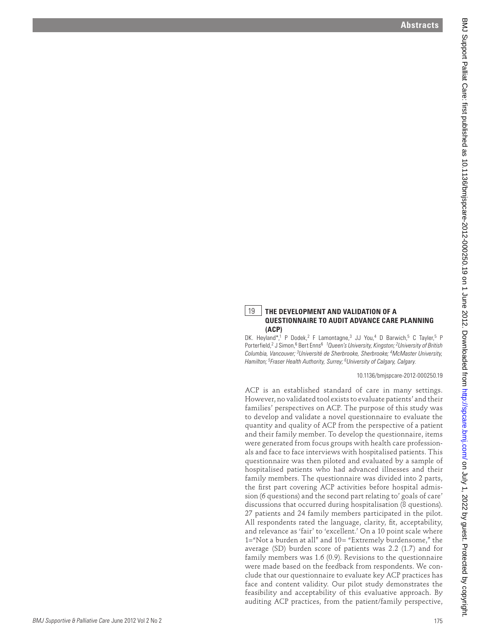## **Abstracts**



## 19 **THE DEVELOPMENT AND VALIDATION OF A QUESTIONNAIRE TO AUDIT ADVANCE CARE PLANNING (ACP)**

DK. Heyland\*,<sup>1</sup> P Dodek,<sup>2</sup> F Lamontagne,<sup>3</sup> JJ You,<sup>4</sup> D Barwich,<sup>5</sup> C Tayler,<sup>5</sup> P Porterfield,<sup>2</sup> J Simon,<sup>6</sup> Bert Enns<sup>6</sup><sup>1</sup> Queen's University, Kingston; <sup>2</sup> University of British *Columbia, Vancouver; 3Université de Sherbrooke, Sherbrooke; 4McMaster University, Hamilton; 5Fraser Health Authority, Surrey; 6University of Calgary, Calgary.*

10.1136/bmjspcare-2012-000250.19

ACP is an established standard of care in many settings. However, no validated tool exists to evaluate patients' and their families' perspectives on ACP. The purpose of this study was to develop and validate a novel questionnaire to evaluate the quantity and quality of ACP from the perspective of a patient and their family member. To develop the questionnaire, items were generated from focus groups with health care professionals and face to face interviews with hospitalised patients. This questionnaire was then piloted and evaluated by a sample of hospitalised patients who had advanced illnesses and their family members. The questionnaire was divided into 2 parts, the first part covering ACP activities before hospital admission (6 questions) and the second part relating to' goals of care' discussions that occurred during hospitalisation (8 questions). 27 patients and 24 family members participated in the pilot. All respondents rated the language, clarity, fit, acceptability, and relevance as 'fair' to 'excellent.' On a 10 point scale where 1="Not a burden at all" and 10= "Extremely burdensome," the average (SD) burden score of patients was 2.2 (1.7) and for family members was 1.6 (0.9). Revisions to the questionnaire were made based on the feedback from respondents. We conclude that our questionnaire to evaluate key ACP practices has face and content validity. Our pilot study demonstrates the feasibility and acceptability of this evaluative approach. By auditing ACP practices, from the patient/family perspective, A between the same of the same of the same of the same of the same of the same of the same of the same of the same of the same of the same of the same of the same of the same of the same of the same of the same of the sam